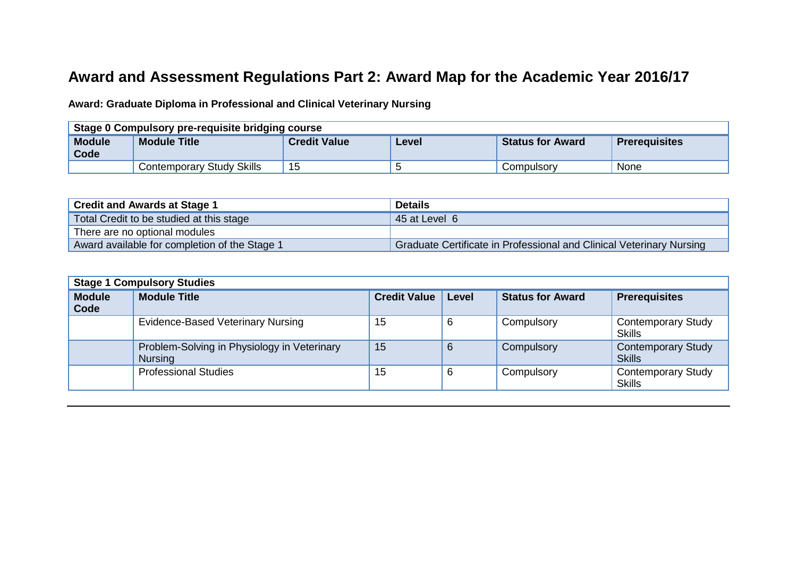## **Award and Assessment Regulations Part 2: Award Map for the Academic Year 2016/17**

**Award: Graduate Diploma in Professional and Clinical Veterinary Nursing**

| Stage 0 Compulsory pre-requisite bridging course |                           |                     |       |                         |                      |
|--------------------------------------------------|---------------------------|---------------------|-------|-------------------------|----------------------|
| <b>Module</b><br>Code                            | <b>Module Title</b>       | <b>Credit Value</b> | Level | <b>Status for Award</b> | <b>Prerequisites</b> |
|                                                  | Contemporary Study Skills | 15                  |       | Compulsory              | None                 |

| <b>Credit and Awards at Stage 1</b>           | <b>Details</b>                                                       |  |  |
|-----------------------------------------------|----------------------------------------------------------------------|--|--|
| Total Credit to be studied at this stage      | 45 at Level 6                                                        |  |  |
| There are no optional modules                 |                                                                      |  |  |
| Award available for completion of the Stage 1 | Graduate Certificate in Professional and Clinical Veterinary Nursing |  |  |

| <b>Stage 1 Compulsory Studies</b> |                                                               |                     |       |                         |                                            |
|-----------------------------------|---------------------------------------------------------------|---------------------|-------|-------------------------|--------------------------------------------|
| <b>Module</b><br>Code             | <b>Module Title</b>                                           | <b>Credit Value</b> | Level | <b>Status for Award</b> | <b>Prerequisites</b>                       |
|                                   | <b>Evidence-Based Veterinary Nursing</b>                      | 15                  | 6     | Compulsory              | <b>Contemporary Study</b><br><b>Skills</b> |
|                                   | Problem-Solving in Physiology in Veterinary<br><b>Nursing</b> | 15                  | 6     | Compulsory              | <b>Contemporary Study</b><br><b>Skills</b> |
|                                   | <b>Professional Studies</b>                                   | 15                  | 6     | Compulsory              | <b>Contemporary Study</b><br><b>Skills</b> |